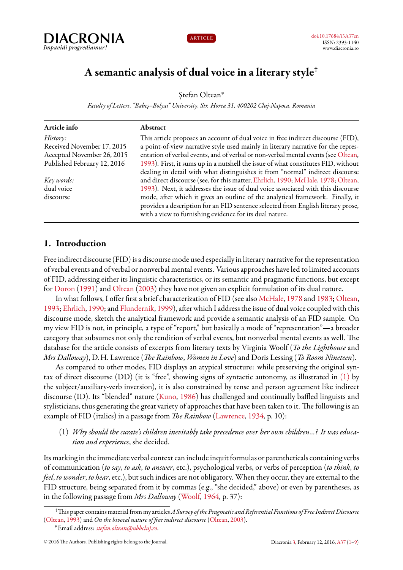



# **A semantic analysis of dual voice in a literary style†**

Stefan Oltean\*

*Faculty of Letters, "Babeș–Bolyai" University, Str. Horea 31, 400202 Cluj-Napoca, Romania*

| Article info                | Abstract                                                                          |
|-----------------------------|-----------------------------------------------------------------------------------|
| History:                    | This article proposes an account of dual voice in free indirect discourse (FID),  |
| Received November 17, 2015  | a point-of-view narrative style used mainly in literary narrative for the repres- |
| Accepted November 26, 2015  | entation of verbal events, and of verbal or non-verbal mental events (see Oltean, |
| Published February 12, 2016 | 1993). First, it sums up in a nutshell the issue of what constitutes FID, without |
|                             | dealing in detail with what distinguishes it from "normal" indirect discourse     |
| Key words:                  | and direct discourse (see, for this matter, Ehrlich, 1990; McHale, 1978; Oltean,  |
| dual voice                  | 1993). Next, it addresses the issue of dual voice associated with this discourse  |
| discourse                   | mode, after which it gives an outline of the analytical framework. Finally, it    |
|                             | provides a description for an FID sentence selected from English literary prose,  |
|                             | with a view to furnishing evidence for its dual nature.                           |

# <span id="page-0-0"></span>**1. Introduction**

Free indirect discourse (FID) is a discourse mode used especially in literary narrative for the representation of verbal events and of verbal or nonverbal mental events. Various approaches have led to limited accounts of FID, addressing either its linguistic characteristics, or its semantic and pragmatic functions, but except for [Doron](#page-8-4) [\(1991\)](#page-8-4) and [Oltean](#page-8-5) ([2003\)](#page-8-5) they have not given an explicit formulation of its dual nature.

In what follows, I offer first a brief characterization of FID (see also [McHale,](#page-8-3) [1978](#page-8-3) and [1983](#page-8-6); [Oltean](#page-8-1), [1993;](#page-8-1) [Ehrlich](#page-8-2), [1990;](#page-8-2) and [Flundernik,](#page-8-7) [1999](#page-8-7)), after which I address the issue of dual voice coupled with this discourse mode, sketch the analytical framework and provide a semantic analysis of an FID sample. On my view FID is not, in principle, a type of "report," but basically a mode of "representation"—a broader category that subsumes not only the rendition of verbal events, but nonverbal mental events as well. The database for the article consists of excerpts from literary texts by Virginia Woolf (*To the Lighthouse* and *Mrs Dalloway*), D.H. Lawrence (*The Rainbow*, *Women in Love*) and Doris Lessing (*To Room Nineteen*).

As compared to other modes, FID displays an atypical structure: while preserving the original syntax of direct discourse (DD) (it is "free", showing signs of syntactic autonomy, as illustrated in [\(1\)](#page-0-1) by the subject/auxiliary-verb inversion), it is also constrained by tense and person agreement like indirect discourse (ID). Its "blended" nature([Kuno](#page-8-8), [1986](#page-8-8)) has challenged and continually baffled linguists and stylisticians, thus generating the great variety of approaches that have been taken to it. The following is an example of FID (italics) in a passage from *The Rainbow* [\(Lawrence,](#page-8-9) [1934,](#page-8-9) p. 10):

<span id="page-0-1"></span>(1) *Why should the curate's children inevitably take precedence over her own children...? It was education and experience*, she decided.

Its marking in the immediate verbal context can include inquit formulas or parentheticals containing verbs of communication (*to say*, *to ask*, *to answer*, etc.), psychological verbs, or verbs of perception (*to think*, *to feel*, *to wonder*, *to hear*, etc.), but such indices are not obligatory. When they occur, they are external to the FID structure, being separated from it by commas (e.g., "she decided," above) or even by parentheses, as in the following passage from *Mrs Dalloway* [\(Woolf,](#page-8-10) [1964,](#page-8-10) p. 37):

<sup>†</sup>This paper contains material from my articles*A Survey of the Pragmatic and Referential Functions of Free Indirect Discourse* ([Oltean](#page-8-1), [1993\)](#page-8-1) and *On the bivocal nature of free indirect discourse* ([Oltean](#page-8-5), [2003\)](#page-8-5).

<sup>˚</sup>Email address: *[stefan.oltean@ubbcluj.ro](mailto:stefan.oltean@ubbcluj.ro)*.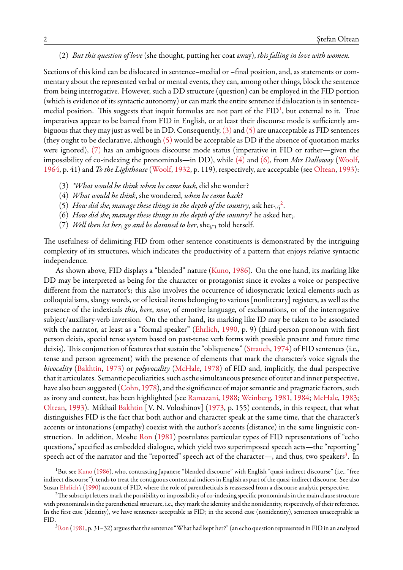#### <span id="page-1-8"></span>(2) *But this question of love* (she thought, putting her coat away), *this falling in love with women.*

Sections of this kind can be dislocated in sentence–medial or –final position, and, as statements or commentary about the represented verbal or mental events, they can, among other things, block the sentence from being interrogative. However, such a DD structure (question) can be employed in the FID portion (which is evidence of its syntactic autonomy) or can mark the entire sentence if dislocation is in sentence-medial position. This suggests that inquit formulas are not part of the FID<sup>[1](#page-1-0)</sup>, but external to it. True imperatives appear to be barred from FID in English, or at least their discourse mode is sufficiently ambiguous that they may just as well be in DD. Consequently,  $(3)$  and  $(5)$  are unacceptable as FID sentences (they ought to be declarative, although [\(5\)](#page-1-2) would be acceptable as DD if the absence of quotation marks were ignored), [\(7\)](#page-1-3) has an ambiguous discourse mode status (imperative in FID or rather—given the impossibility of co-indexing the pronominals—in DD), while [\(4\)](#page-1-4) and [\(6\),](#page-1-5) from *Mrs Dalloway* ([Woolf](#page-8-10), [1964,](#page-8-10) p. 41) and *To the Lighthouse* ([Woolf](#page-8-11), [1932](#page-8-11), p. 119), respectively, are acceptable (see [Oltean,](#page-8-1) [1993\)](#page-8-1):

- <span id="page-1-1"></span>(3) *\*What would he think when he came back*, did she wonder?
- <span id="page-1-4"></span>(4) *What would he think*, she wondered, *when he came back?*
- <span id="page-1-2"></span>(5) How did she<sub>i</sub> manage these things in the depth of the country,  $\text{ask her}_{i/j}^2$  $\text{ask her}_{i/j}^2$ .
- <span id="page-1-5"></span>(6) *How did she*<sup>i</sup> *manage these things in the depth of the country?* he asked her<sup>i</sup> .
- <span id="page-1-3"></span>(7) *Well then let her<sub>i</sub> go and be damned to her*, she<sub>j/\*i</sub> told herself.

The usefulness of delimiting FID from other sentence constituents is demonstrated by the intriguing complexity of its structures, which indicates the productivity of a pattern that enjoys relative syntactic independence.

As shown above, FID displays a "blended" nature [\(Kuno](#page-8-8), [1986\)](#page-8-8). On the one hand, its marking like DD may be interpreted as being for the character or protagonist since it evokes a voice or perspective different from the narrator's; this also involves the occurrence of idiosyncratic lexical elements such as colloquialisms, slangy words, or of lexical items belonging to various [nonliterary] registers, as well as the presence of the indexicals *this*, *here*, *now*, of emotive language, of exclamations, or of the interrogative subject/auxiliary-verb inversion. On the other hand, its marking like ID may be taken to be associated with the narrator, at least as a "formal speaker" [\(Ehrlich,](#page-8-2) [1990,](#page-8-2) p. 9) (third-person pronoun with first person deixis, special tense system based on past-tense verb forms with possible present and future time deixis). This conjunction of features that sustain the "obliqueness"([Strauch](#page-8-12), [1974](#page-8-12)) of FID sentences (i.e., tense and person agreement) with the presence of elements that mark the character's voice signals the *bivocality* [\(Bakhtin](#page-8-13), [1973](#page-8-13)) or *polyvocality* ([McHale](#page-8-3), [1978](#page-8-3)) of FID and, implicitly, the dual perspective that it articulates. Semantic peculiarities, such as the simultaneous presence of outer and inner perspective, havealso been suggested ([Cohn](#page-8-14), [1978\)](#page-8-14), and the significance of major semantic and pragmatic factors, such as irony and context, has been highlighted (see [Ramazani,](#page-8-15) [1988;](#page-8-15) [Weinberg](#page-8-16), [1981,](#page-8-16) [1984](#page-8-17); [McHale](#page-8-6), [1983;](#page-8-6) [Oltean](#page-8-1), [1993\)](#page-8-1). Mikhail [Bakhtin](#page-8-13) [V. N. Voloshinov]([1973](#page-8-13), p. 155) contends, in this respect, that what distinguishes FID is the fact that both author and character speak at the same time, that the character's accents or intonations (empathy) coexist with the author's accents (distance) in the same linguistic construction. In addition, Moshe [Ron](#page-8-18) ([1981\)](#page-8-18) postulates particular types of FID representations of "echo questions," specified as embedded dialogue, which yield two superimposed speech acts—the "reporting" speech act of the narrator and the "reported" speech act of the character—, and thus, two speakers<sup>[3](#page-1-7)</sup>. In

<span id="page-1-0"></span><sup>&</sup>lt;sup>1</sup>But see [Kuno](#page-8-8) [\(1986\)](#page-8-8), who, contrasting Japanese "blended discourse" with English "quasi-indirect discourse" (i.e., "free indirect discourse"), tends to treat the contiguous contextual indices in English as part of the quasi-indirect discourse. See also Susan [Ehrlich](#page-8-2)'s([1990](#page-8-2)) account of FID, where the role of parentheticals is reassessed from a discourse analytic perspective.

<span id="page-1-6"></span><sup>&</sup>lt;sup>2</sup>The subscript letters mark the possibility or impossibility of co-indexing specific pronominals in the main clause structure with pronominals in the parenthetical structure, i.e., they mark the identity and the nonidentity, respectively, of their reference. In the first case (identity), we have sentences acceptable as FID; in the second case (nonidentity), sentences unacceptable as FID.

<span id="page-1-7"></span> $3$ [Ron](#page-8-18) ([1981](#page-8-18), p. 31–32) argues that the sentence "What had kept her?" (an echo question represented in FID in an analyzed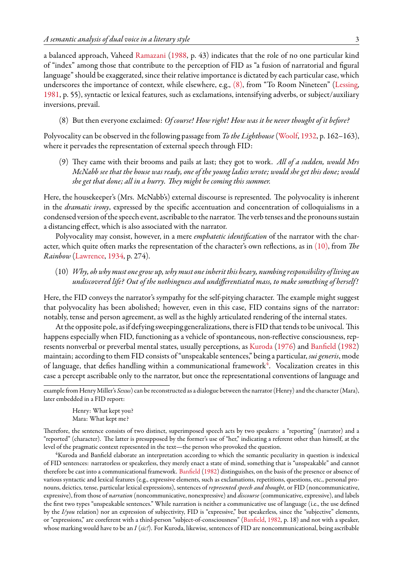a balanced approach, Vaheed [Ramazani](#page-8-15) ([1988,](#page-8-15) p. 43) indicates that the role of no one particular kind of "index" among those that contribute to the perception of FID as "a fusion of narratorial and figural language" should be exaggerated, since their relative importance is dictated by each particular case, which underscores the importance of context, while elsewhere, e.g., [\(8\)](#page-2-0), from "To Room Nineteen" [\(Lessing](#page-8-19), [1981,](#page-8-19) p. 55), syntactic or lexical features, such as exclamations, intensifying adverbs, or subject/auxiliary inversions, prevail.

<span id="page-2-0"></span>(8) But then everyone exclaimed: *Of course! How right! How was it he never thought of it before?*

Polyvocality can be observed in the following passage from *To the Lighthouse* [\(Woolf,](#page-8-11) [1932,](#page-8-11) p. 162–163), where it pervades the representation of external speech through FID:

(9) They came with their brooms and pails at last; they got to work. *All of a sudden, would Mrs McNabb see that the house was ready, one of the young ladies wrote; would she get this done; would she get that done; all in a hurry. They might be coming this summer.*

Here, the housekeeper's (Mrs. McNabb's) external discourse is represented. The polyvocality is inherent in the *dramatic irony*, expressed by the specific accentuation and concentration of colloquialisms in a condensed version of the speech event, ascribable to the narrator. The verb tenses and the pronouns sustain a distancing effect, which is also associated with the narrator.

Polyvocality may consist, however, in a mere *emphatetic identification* of the narrator with the character, which quite often marks the representation of the character's own reflections, as in [\(10\),](#page-2-1) from *The Rainbow* [\(Lawrence](#page-8-9), [1934](#page-8-9), p. 274).

<span id="page-2-1"></span>(10) *Why, oh why must one grow up, why must one inheritthis heavy, numbing responsibility of living an undiscovered life? Out of the nothingness and undifferentiated mass, to make something of herself!*

Here, the FID conveys the narrator's sympathy for the self-pitying character. The example might suggest that polyvocality has been abolished; however, even in this case, FID contains signs of the narrator: notably, tense and person agreement, as well as the highly articulated rendering of the internal states.

At the opposite pole, as if defying sweeping generalizations, there is FID that tends to be univocal. This happens especially when FID, functioning as a vehicle of spontaneous, non-reflective consciousness, represents nonverbal or preverbal mental states, usually perceptions, as [Kuroda](#page-8-20) ([1976\)](#page-8-20) and [Banfield](#page-8-21) [\(1982\)](#page-8-21) maintain; according to them FID consists of "unspeakable sentences," being a particular, *sui generis*, mode of language, that defies handling within a communicational framework $4$ . Vocalization creates in this case a percept ascribable only to the narrator, but once the representational conventions of language and

example from Henry Miller's *Sexus*) can be reconstructed as a dialogue between the narrator (Henry) and the character (Mara), later embedded in a FID report:

Henry: What kept you? Mara: What kept me?

Therefore, the sentence consists of two distinct, superimposed speech acts by two speakers: a "reporting" (narrator) and a "reported" (character). The latter is presupposed by the former's use of "her," indicating a referent other than himself, at the level of the pragmatic context represented in the text—the person who provoked the question.

<span id="page-2-2"></span><sup>4</sup>Kuroda and Banfield elaborate an interpretation according to which the semantic peculiarity in question is indexical of FID sentences: narratorless or speakerless, they merely enact a state of mind, something that is "unspeakable" and cannot therefore be cast into a communicational framework. [Banfield](#page-8-21) [\(1982\)](#page-8-21) distinguishes, on the basis of the presence or absence of various syntactic and lexical features (e.g., expressive elements, such as exclamations, repetitions, questions, etc., personal pronouns, deictics, tense, particular lexical expressions), sentences of *represented speech and thought*, or FID (noncommunicative, expressive), from those of *narration* (noncommunicative, nonexpressive) and *discourse* (communicative, expressive), and labels the first two types "unspeakable sentences." While narration is neither a communicative use of language (i.e., the use defined by the *I/you* relation) nor an expression of subjectivity, FID is "expressive," but speakerless, since the "subjective" elements, or "expressions," are coreferent with a third-person "subject-of-consciousness"([Banfield](#page-8-21), [1982,](#page-8-21) p. 18) and not with a speaker, whose marking would have to be an *I* (*sic!*). For Kuroda, likewise, sentences of FID are noncommunicational, being ascribable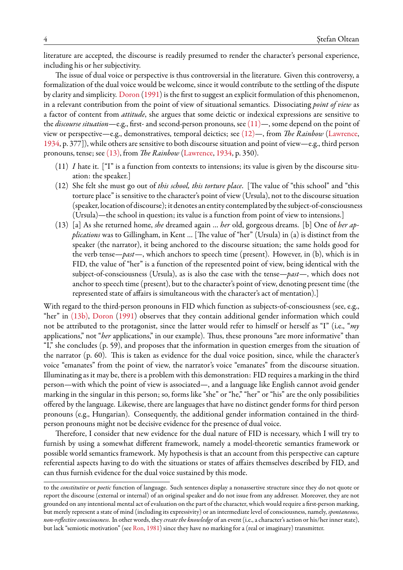literature are accepted, the discourse is readily presumed to render the character's personal experience, including his or her subjectivity.

The issue of dual voice or perspective is thus controversial in the literature. Given this controversy, a formalization of the dual voice would be welcome, since it would contribute to the settling of the dispute by clarity and simplicity. [Doron](#page-8-4) ([1991\)](#page-8-4) is the first to suggest an explicit formulation of this phenomenon, in a relevant contribution from the point of view of situational semantics. Dissociating *point of view* as a factor of content from *attitude*, she argues that some deictic or indexical expressions are sensitive to the *discourse situation*—e.g., first- and second-person pronouns, see [\(11\)—](#page-3-0), some depend on the point of view or perspective—e.g., demonstratives, temporal deictics; see [\(12\)—](#page-3-1), from *The Rainbow* [\(Lawrence](#page-8-9), [1934,](#page-8-9) p. 377]), while others are sensitive to both discourse situation and point of view—e.g., third person pronouns, tense; see [\(13\),](#page-3-2) from *The Rainbow* [\(Lawrence,](#page-8-9) [1934,](#page-8-9) p. 350).

- <span id="page-3-0"></span>(11) *I* hate it. ["I" is a function from contexts to intensions; its value is given by the discourse situation: the speaker.]
- <span id="page-3-1"></span>(12) She felt she must go out of *this school, this torture place*. [The value of "this school" and "this torture place" is sensitive to the character's point of view (Ursula), not to the discourse situation (speaker, location of discourse); it denotes an entity contemplated by the subject-of-consciousness (Ursula)—the school in question; its value is a function from point of view to intensions.]
- <span id="page-3-2"></span>(13) [a] As she returned home, *she* dreamed again … *her* old, gorgeous dreams. [b] One of *her applications* was to Gillingham, in Kent … [The value of "her" (Ursula) in (a) is distinct from the speaker (the narrator), it being anchored to the discourse situation; the same holds good for the verb tense—*past*—, which anchors to speech time (present). However, in (b), which is in FID, the value of "her" is a function of the represented point of view, being identical with the subject-of-consciousness (Ursula), as is also the case with the tense—*past*—, which does not anchor to speech time (present), but to the character's point of view, denoting present time (the represented state of affairs is simultaneous with the character's act of mentation).]

With regard to the third-person pronouns in FID which function as subjects-of-consciousness (see, e.g., "her" in [\(13b\)](#page-3-2), [Doron](#page-8-4) [\(1991](#page-8-4)) observes that they contain additional gender information which could not be attributed to the protagonist, since the latter would refer to himself or herself as "I" (i.e., "*my* applications," not "*her* applications," in our example). Thus, these pronouns "are more informative" than "I," she concludes (p. 59), and proposes that the information in question emerges from the situation of the narrator (p. 60). This is taken as evidence for the dual voice position, since, while the character's voice "emanates" from the point of view, the narrator's voice "emanates" from the discourse situation. Illuminating as it may be, there is a problem with this demonstration: FID requires a marking in the third person—with which the point of view is associated—, and a language like English cannot avoid gender marking in the singular in this person; so, forms like "she" or "he," "her" or "his" are the only possibilities offered by the language. Likewise, there are languages that have no distinct gender forms for third person pronouns (e.g., Hungarian). Consequently, the additional gender information contained in the thirdperson pronouns might not be decisive evidence for the presence of dual voice.

Therefore, I consider that new evidence for the dual nature of FID is necessary, which I will try to furnish by using a somewhat different framework, namely a model-theoretic semantics framework or possible world semantics framework. My hypothesis is that an account from this perspective can capture referential aspects having to do with the situations or states of affairs themselves described by FID, and can thus furnish evidence for the dual voice sustained by this mode.

to the *constitutive* or *poetic* function of language. Such sentences display a nonassertive structure since they do not quote or report the discourse (external or internal) of an original speaker and do not issue from any addresser. Moreover, they are not grounded on any intentional mental act of evaluation on the part of the character, which would require a first-person marking, but merely represent a state of mind (including its expressivity) or an intermediate level of consciousness, namely, *spontaneous, non-reflective consciousness*. In other words, they *create the knowledge* of an event (i.e., a character's action or his/her inner state), but lack "semiotic motivation" (see [Ron,](#page-8-18) [1981\)](#page-8-18) since they have no marking for a (real or imaginary) transmitter.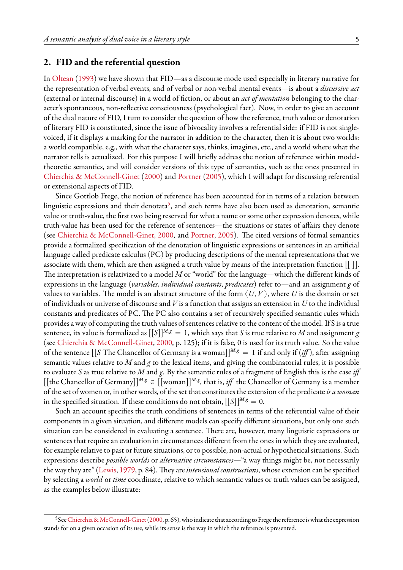#### **2. FID and the referential question**

In [Oltean](#page-8-1) [\(1993\)](#page-8-1) we have shown that FID—as a discourse mode used especially in literary narrative for the representation of verbal events, and of verbal or non-verbal mental events—is about a *discursive act* (external or internal discourse) in a world of fiction, or about an *act of mentation* belonging to the character's spontaneous, non-reflective consciousness (psychological fact). Now, in order to give an account of the dual nature of FID, I turn to consider the question of how the reference, truth value or denotation of literary FID is constituted, since the issue of bivocality involves a referential side: if FID is not singlevoiced, if it displays a marking for the narrator in addition to the character, then it is about two worlds: a world compatible, e.g., with what the character says, thinks, imagines, etc., and a world where what the narrator tells is actualized. For this purpose I will briefly address the notion of reference within modeltheoretic semantics, and will consider versions of this type of semantics, such as the ones presented in [Chierchia & McConnell-Ginet](#page-8-22) [\(2000](#page-8-22)) and [Portner](#page-8-23) [\(2005](#page-8-23)), which I will adapt for discussing referential or extensional aspects of FID.

Since Gottlob Frege, the notion of reference has been accounted for in terms of a relation between linguistic expressions and their denotata<sup>[5](#page-4-0)</sup>, and such terms have also been used as denotation, semantic value or truth-value, the first two being reserved for what a name or some other expression denotes, while truth-value has been used for the reference of sentences—the situations or states of affairs they denote (see [Chierchia & McConnell-Ginet,](#page-8-22) [2000](#page-8-22), and [Portner,](#page-8-23) [2005](#page-8-23)). The cited versions of formal semantics provide a formalized specification of the denotation of linguistic expressions or sentences in an artificial language called predicate calculus (PC) by producing descriptions of the mental representations that we associate with them, which are then assigned a truth value by means of the interpretation function  $[[\ ]]$ . The interpretation is relativized to a model *M* or "world" for the language—which the different kinds of expressions in the language (*variables*, *individual constants*, *predicates*) refer to—and an assignment *g* of values to variables. The model is an abstract structure of the form  $\langle U, V \rangle$ , where *U* is the domain or set of individuals or universe of discourse and *V* is a function that assigns an extension in *U* to the individual constants and predicates of PC. The PC also contains a set of recursively specified semantic rules which provides a way of computing the truth values of sentences relative to the content of the model. If S is a true sentence, its value is formalized as  $[[S]]^{M,g} = 1$ , which says that *S* is true relative to *M* and assignment *g* (see [Chierchia & McConnell-Ginet](#page-8-22), [2000,](#page-8-22) p. 125); if it is false, 0 is used for its truth value. So the value of the sentence  $\left[\int S\right]$  The Chancellor of Germany is a woman $\left[\right]^{M,g} = 1$  if and only if  $(i\text{f})$ , after assigning semantic values relative to *M* and *g* to the lexical items, and giving the combinatorial rules, it is possible to evaluate *S* as true relative to *M* and *g*. By the semantic rules of a fragment of English this is the case *iff*  $[[$ the Chancellor of Germany $]]^{M,g} \in [[$ woman $]]^{M,g}$ , that is, *iff* the Chancellor of Germany is a member of the set of women or, in other words, of the set that constitutes the extension of the predicate*is a woman* in the specified situation. If these conditions do not obtain,  $[[S]]^{M,g} = 0$ .

Such an account specifies the truth conditions of sentences in terms of the referential value of their components in a given situation, and different models can specify different situations, but only one such situation can be considered in evaluating a sentence. There are, however, many linguistic expressions or sentences that require an evaluation in circumstances different from the ones in which they are evaluated, for example relative to past or future situations, or to possible, non-actual or hypothetical situations. Such expressions describe *possible worlds* or *alternative circumstances*—"a way things might be, not necessarily the way they are"([Lewis,](#page-8-24) [1979,](#page-8-24) p. 84). They are*intensional constructions*, whose extension can be specified by selecting a *world* or *time* coordinate, relative to which semantic values or truth values can be assigned, as the examples below illustrate:

<span id="page-4-0"></span> $^5$ See [Chierchia & McConnell-Ginet](#page-8-22) ([2000](#page-8-22), p. 65), who indicate that according to Frege the reference is what the expression stands for on a given occasion of its use, while its sense is the way in which the reference is presented.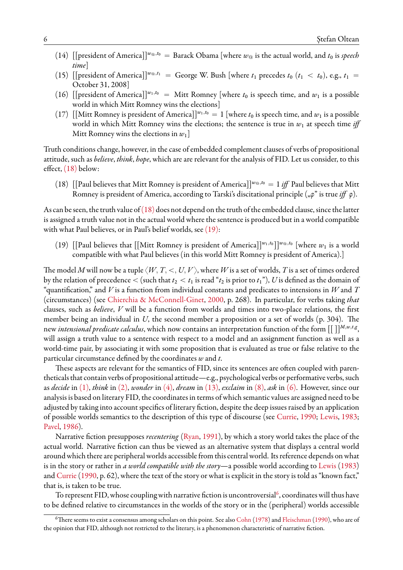- (14) [[president of America]]<sup>*w*@,*t*0</sub> = Barack Obama [where *w*@ is the actual world, and *t*<sub>0</sub> is *speech*</sup> *time*]
- (15) [[president of America]]<sup> $w_{\text{o}}$ , $t_1$ </sup> = George W. Bush [where  $t_1$  precedes  $t_0$  ( $t_1 < t_0$ ), e.g.,  $t_1$  = October 31, 2008]
- (16) [[president of America]]<sup>*w*1,*t*<sup>0</sup> = Mitt Romney [where *t*<sub>0</sub> is speech time, and *w*<sub>1</sub> is a possible</sup> world in which Mitt Romney wins the elections]
- (17) [Mitt Romney is president of America]]<sup>*w*1,*t*0</sub> = 1 [where *t*<sub>0</sub> is speech time, and *w*<sub>1</sub> is a possible</sup> world in which Mitt Romney wins the elections; the sentence is true in  $w_1$  at speech time *iff* Mitt Romney wins the elections in  $w_1$ ]

Truth conditions change, however, in the case of embedded complement clauses of verbs of propositional attitude, such as *believe*, *think*, *hope*, which are are relevant for the analysis of FID. Let us consider, to this effect, [\(18\)](#page-5-0) below:

<span id="page-5-0"></span>(18) [[Paul believes that Mitt Romney is president of America]]<sup> $w_{\text{o}}$ </sup>,<sup>*t*0</sup> = 1 *iff* Paul believes that Mitt Romney is president of America, according to Tarski's discitational principle ("*φ*" is true *iff φ*).

As can be seen, the truth value of  $(18)$  does not depend on the truth of the embedded clause, since the latter is assigned a truth value not in the actual world where the sentence is produced but in a world compatible with what Paul believes, or in Paul's belief worlds, see [\(19\):](#page-5-1)

<span id="page-5-1"></span>(19)  $\left[\text{Paul believes that } \left[\text{Mitt Romney is president of America}\right]\right]^{w_1,t_0}\right]^{w_{@},t_0}$  [where  $w_1$  is a world compatible with what Paul believes (in this world Mitt Romney is president of America).]

The model *M* will now be a tuple  $\langle W, T, \langle U, V \rangle$ , where *W* is a set of worlds, *T* is a set of times ordered by the relation of precedence  $\lt$  (such that  $t_2 \lt t_1$  is read " $t_2$  is prior to  $t_1$ "),  $U$  is defined as the domain of "quantification," and *V* is a function from individual constants and predicates to intensions in *W* and *T* (circumstances) (see [Chierchia & McConnell-Ginet,](#page-8-22) [2000](#page-8-22), p. 268). In particular, for verbs taking *that* clauses, such as *believe*, *V* will be a function from worlds and times into two-place relations, the first member being an individual in *U*, the second member a proposition or a set of worlds (p. 304). The new *intensional predicate calculus*, which now contains an interpretation function of the form  $[[\ ]]^{M,w,t,g},$ will assign a truth value to a sentence with respect to a model and an assignment function as well as a world-time pair, by associating it with some proposition that is evaluated as true or false relative to the particular circumstance defined by the coordinates *w* and *t*.

These aspects are relevant for the semantics of FID, since its sentences are often coupled with parentheticals that contain verbs of propositional attitude—e.g., psychological verbs or performative verbs, such as *decide* in [\(1\)](#page-0-1), *think* in [\(2\)](#page-1-8), *wonder* in [\(4\)](#page-1-4), *dream* in [\(13\),](#page-3-2) *exclaim* in [\(8\)](#page-2-0), *ask* in [\(6\).](#page-1-5) However, since our analysis is based on literary FID, the coordinates in terms of which semantic values are assigned need to be adjusted by taking into account specifics of literary fiction, despite the deep issues raised by an application of possible worlds semantics to the description of this type of discourse (see [Currie,](#page-8-25) [1990](#page-8-25); [Lewis](#page-8-26), [1983;](#page-8-26) [Pavel,](#page-8-27) [1986\)](#page-8-27).

Narrative fiction presupposes *recentering* [\(Ryan](#page-8-28), [1991](#page-8-28)), by which a story world takes the place of the actual world. Narrative fiction can thus be viewed as an alternative system that displays a central world around which there are peripheral worlds accessible from this central world. Its reference depends on what is in the story or rather in *a world compatible with the story*—a possible world according to [Lewis](#page-8-26) [\(1983\)](#page-8-26) and Currie (1990, p. 62), where the text of the story or what is explicit in the story is told as "known fact," that is, is taken to be true.

To represent FID, whose coupling with narrative fiction is uncontroversial $^6$  $^6$ , coordinates will thus have to be defined relative to circumstances in the worlds of the story or in the (peripheral) worlds accessible

<span id="page-5-2"></span> $6$ There seems to exist a consensus among scholars on this point. See also [Cohn](#page-8-14) ([1978](#page-8-14)) and [Fleischman](#page-8-29) [\(1990](#page-8-29)), who are of the opinion that FID, although not restricted to the literary, is a phenomenon characteristic of narrative fiction.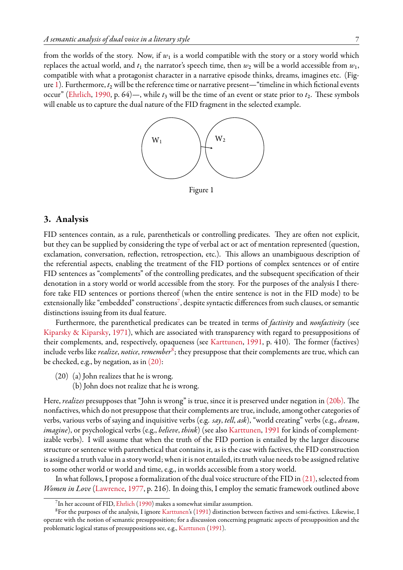the dual nature of the FID fragment in the selected example.

<span id="page-6-0"></span>from the worlds of the story. Now, if  $w_1$  is a world compatible with the story or a story world which replaces the actual world, and  $t_1$  the narrator's speech time, then  $w_2$  will be a world accessible from  $w_1$ , compatible with what a protagonist character in a narrative episode thinks, dreams, imagines etc. (Fig-ure [1\)](#page-6-0). Furthermore,  $t_2$  will be the reference time or narrative present—"timeline in which fictional events occur" [\(Ehrlich,](#page-8-2) [1990](#page-8-2), p. 64)—, while  $t_3$  will be the time of an event or state prior to  $t_2$ . These symbols will enable us to capture the dual nature of the FID fragment in the selected example.



There seems to exist a consensus among scholars on this point. See also Cohn (1978) and Fleischman (1990), who are of the 7 Figure 1

#### $1$ veiew Ehrlicht's (1990: 61)  $R$ eichenbach-type treatment of time, which employs three notions: speech time (when a 88)  $R$  $s_{\rm max}$ **3. Analysis**

FID sentences contain, as a rule, parentheticals or controlling predicates. They are often not explicit, but they can be supplied by considering the type of verbal act or act of mentation represented (question, exclamation, conversation, reflection, retrospection, etc.). This allows an unambiguous description of the referential aspects, enabling the treatment of the FID portions of complex sentences or of entire FID sentences as "complements" of the controlling predicates, and the subsequent specification of their denotation in a story world or world accessible from the story. For the purposes of the analysis I therefore take FID sentences or portions thereof (when the entire sentence is not in the FID mode) to be extensionally like "embedded" constructions<sup>[7](#page-6-1)</sup>, despite syntactic differences from such clauses, or semantic distinctions issuing from its dual feature.

Furthermore, the parenthetical predicates can be treated in terms of *factivity* and *nonfactivity* (see [Kiparsky & Kiparsky,](#page-8-30) [1971](#page-8-30)), which are associated with transparency with regard to presuppositions of their complements, and, respectively, opaqueness (see [Karttunen,](#page-8-31) [1991](#page-8-31), p. 410). The former (factives) include verbs like *realize*, *notice*, *remember*[8](#page-6-2) ; they presuppose that their complements are true, which can be checked, e.g., by negation, as in  $(20)$ :

- <span id="page-6-3"></span>(20) (a) John realizes that he is wrong.
	- (b) John does not realize that he is wrong.

Here, *realizes* presupposes that "John is wrong" is true, since it is preserved under negation in [\(20b\).](#page-6-3) The nonfactives, which do not presuppose that their complements are true, include, among other categories of verbs, various verbs of saying and inquisitive verbs (e.g. *say*, *tell*, *ask*), "world creating" verbs (e.g., *dream*, *imagine*), or psychological verbs (e.g., *believe*, *think*) (see also [Karttunen,](#page-8-31) [1991](#page-8-31) for kinds of complementizable verbs). I will assume that when the truth of the FID portion is entailed by the larger discourse structure or sentence with parenthetical that contains it, as is the case with factives, the FID construction is assigned a truth value in a story world; when it is not entailed, its truth value needs to be assigned relative to some other world or world and time, e.g., in worlds accessible from a story world.

In what follows, I propose a formalization of the dual voice structure of the FID in  $(21)$ , selected from *Women in Love* ([Lawrence](#page-8-32), [1977](#page-8-32), p. 216). In doing this, I employ the sematic framework outlined above

<span id="page-6-2"></span><span id="page-6-1"></span> $^{7}$ In her account of FID, [Ehrlich](#page-8-2) ([1990](#page-8-2)) makes a somewhat similar assumption.

<sup>&</sup>lt;sup>8</sup>For the purposes of the analysis, I ignore [Karttunen'](#page-8-31)s([1991](#page-8-31)) distinction between factives and semi-factives. Likewise, I operate with the notion of semantic presupposition; for a discussion concerning pragmatic aspects of presupposition and the problematic logical status of presuppositions see, e.g., [Karttunen](#page-8-31) ([1991](#page-8-31)).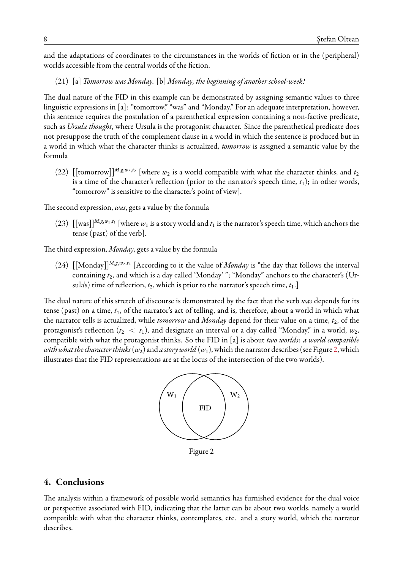and the adaptations of coordinates to the circumstances in the worlds of fiction or in the (peripheral) worlds accessible from the central worlds of the fiction.

<span id="page-7-0"></span>(21) [a] *Tomorrow was Monday.* [b] *Monday, the beginning of another school-week!*

The dual nature of the FID in this example can be demonstrated by assigning semantic values to three linguistic expressions in [a]: "tomorrow," "was" and "Monday." For an adequate interpretation, however, this sentence requires the postulation of a parenthetical expression containing a non-factive predicate, such as *Ursula thought*, where Ursula is the protagonist character. Since the parenthetical predicate does not presuppose the truth of the complement clause in a world in which the sentence is produced but in a world in which what the character thinks is actualized, *tomorrow* is assigned a semantic value by the formula

(22) [[tomorrow]]<sup>*M*<sub>*,g*</sub>,*w*<sub>2</sub>,*t*<sub>2</sub> [where  $w_2$  is a world compatible with what the character thinks, and *t*<sub>2</sub></sup> is a time of the character's reflection (prior to the narrator's speech time,  $t_1$ ); in other words, "tomorrow" is sensitive to the character's point of view]. 14

The second expression, *was*, gets a value by the formula

(23)  $\left[\text{[was]} \right]^{M,g,w_1,t_1}$  [where  $w_1$  is a story world and  $t_1$  is the narrator's speech time, which anchors the tense (past) of the verb].  $u_1, u_1, t_1$  [where  $u_2$  is a story world and  $t_1$  is the narrator's speech time, which and character's (URSULATE) time of the verb

The third expression, *Monday*, gets a value by the formula

(24)  $[[\text{Monday}]]^{M,g,w_2,t_2}$  [According to it the value of *Monday* is "the day that follows the interval containing  $t_2$ , and which is a day called 'Monday' "; "Monday" anchors to the character's (Ursula's) time of reflection,  $t_2$ , which is prior to the narrator's speech time,  $t_1$ .]

The dual nature of this stretch of discourse is demonstrated by the fact that the verb was depends for its tense (past) on a time,  $t_1$ , of the narrator's act of telling, and is, therefore, about a world in which what the narrator tells is actualized, while *tomorrow* and *Monday* depend for their value on a time,  $t_2$ , of the protagonist's reflection  $(t_2 < t_1)$ , and designate an interval or a day called "Monday," in a world,  $w_2$ , compatible with what the protagonist thinks. So the FID in [a] is about *two worlds*: *a world compatible with what the character thinks (w<sub>2</sub>) and <i>a story world (w*1), which the narrator describes (see Figure [2,](#page-7-1) which illustrates that the FID representations are at the locus of the intersection of the two worlds).

<span id="page-7-1"></span>

*Figure 2* Figure 2

## **Conclusions 4. Conclusions**

The analysis within a framework of possible world semantics has furnished evidence for the dual The analysis within a framework of possible world semantics has furnished evidence for the dual voice or perspective associated with FID, indicating that the latter can be about two worlds, namely a world compatible with what the character thinks, contemplates, etc. and a story world, which the narrator describes.